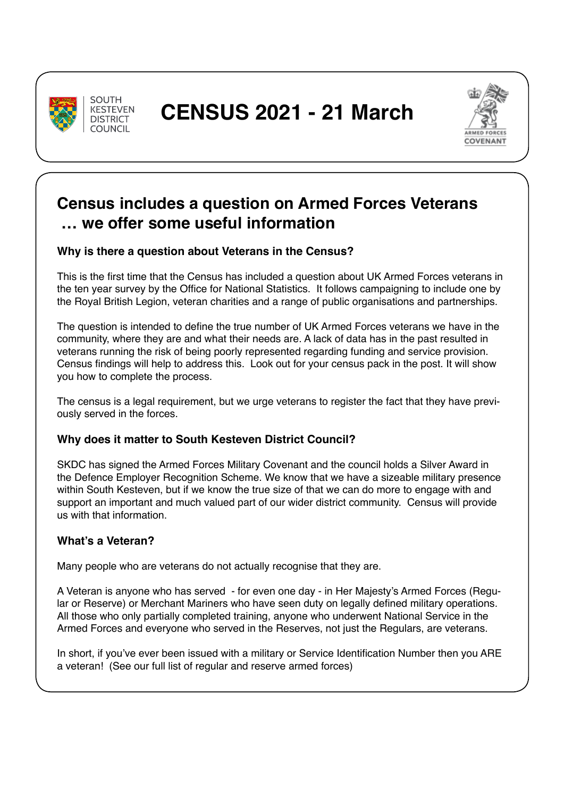

**SOUTH KESTEVEN DISTRICT** COLINCIL.



## **Census includes a question on Armed Forces Veterans … we offer some useful information**

## **Why is there a question about Veterans in the Census?**

This is the first time that the Census has included a question about UK Armed Forces veterans in the ten year survey by the Office for National Statistics. It follows campaigning to include one by the Royal British Legion, veteran charities and a range of public organisations and partnerships.

The question is intended to define the true number of UK Armed Forces veterans we have in the community, where they are and what their needs are. A lack of data has in the past resulted in veterans running the risk of being poorly represented regarding funding and service provision. Census findings will help to address this. Look out for your census pack in the post. It will show you how to complete the process.

The census is a legal requirement, but we urge veterans to register the fact that they have previously served in the forces.

#### **Why does it matter to South Kesteven District Council?**

SKDC has signed the Armed Forces Military Covenant and the council holds a Silver Award in the Defence Employer Recognition Scheme. We know that we have a sizeable military presence within South Kesteven, but if we know the true size of that we can do more to engage with and support an important and much valued part of our wider district community. Census will provide us with that information.

## **What's a Veteran?**

Many people who are veterans do not actually recognise that they are.

A Veteran is anyone who has served - for even one day - in Her Majesty's Armed Forces (Regular or Reserve) or Merchant Mariners who have seen duty on legally defined military operations. All those who only partially completed training, anyone who underwent National Service in the Armed Forces and everyone who served in the Reserves, not just the Regulars, are veterans.

In short, if you've ever been issued with a military or Service Identification Number then you ARE a veteran! (See our full list of regular and reserve armed forces)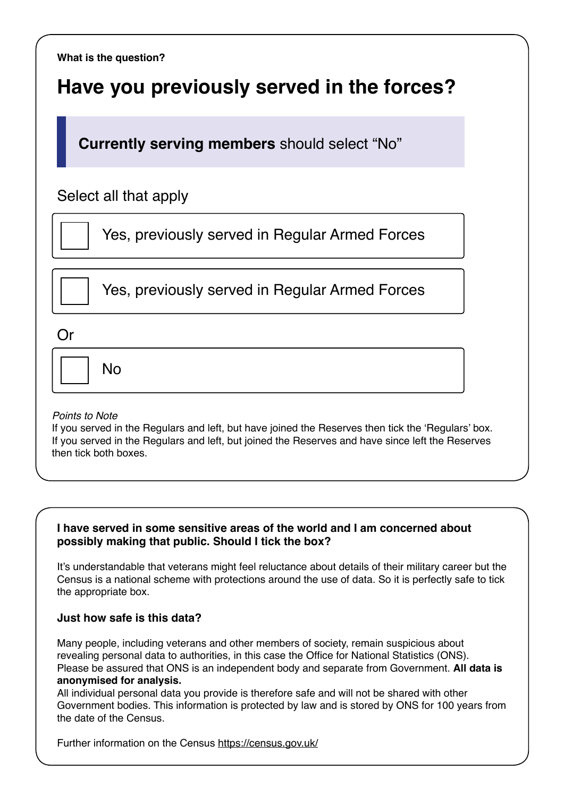**What is the question?**

# **Have you previously served in the forces?**

**Currently serving members** should select "No"

## Select all that apply

Yes, previously served in Regular Armed Forces

Yes, previously served in Regular Armed Forces

Or

 $N<sub>0</sub>$ 

#### *Points to Note*

If you served in the Regulars and left, but have joined the Reserves then tick the 'Regulars' box. If you served in the Regulars and left, but joined the Reserves and have since left the Reserves then tick both boxes.

#### **I have served in some sensitive areas of the world and I am concerned about possibly making that public. Should I tick the box?**

It's understandable that veterans might feel reluctance about details of their military career but the Census is a national scheme with protections around the use of data. So it is perfectly safe to tick the appropriate box.

#### **Just how safe is this data?**

Many people, including veterans and other members of society, remain suspicious about revealing personal data to authorities, in this case the Office for National Statistics (ONS). Please be assured that ONS is an independent body and separate from Government. **All data is anonymised for analysis.**

All individual personal data you provide is therefore safe and will not be shared with other Government bodies. This information is protected by law and is stored by ONS for 100 years from the date of the Census.

Further information on the Census https://census.gov.uk/